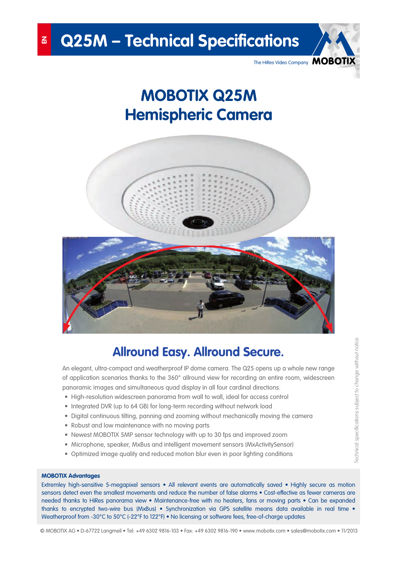The HiRes Video Company MOBOTIX





# **Allround Easy. Allround Secure.**

An elegant, ultra-compact and weatherproof IP dome camera. The Q25 opens up a whole new range of application scenarios thanks to the 360° allround view for recording an entire room, widescreen panoramic images and simultaneous quad display in all four cardinal directions.

- High-resolution widescreen panorama from wall to wall, ideal for access control
- Integrated DVR (up to 64 GB) for long-term recording without network load
- Digital continuous tilting, panning and zooming without mechanically moving the camera
- Robust and low maintenance with no moving parts
- Newest MOBOTIX 5MP sensor technology with up to 30 fps and improved zoom
- Microphone, speaker, MxBus and intelligent movement sensors (MxActivitySensor)
- Optimized image quality and reduced motion blur even in poor lighting conditions

# **14Q25 MOBOTIX Advantages**

**www.mobotiz.com** sensors detect even the smallest movements and reduce the number of false alarms • Cost-effective as fewer cameras are needed thanks to HiRes panorama view • Maintenance-free with no heaters, fans or moving parts • Can be expanded weatherproof from -30°C to 50°C (-22°F to 122°F) • No licensing or software fees, free-of-charge updates in the live images. Extremley high-sensitive 5-megapixel sensors • All relevant events are automatically saved • Highly secure as motion thanks to encrypted two-wire bus (MxBus) • Synchronization via GPS satellite means data available in real time •

© MOBOTIX AG • D-67722 Langmeil • Tel: +49 6302 9816-103 • Fax: +49 6302 9816-190 • www.mobotix.com • sales@mobotix.com • 11/2013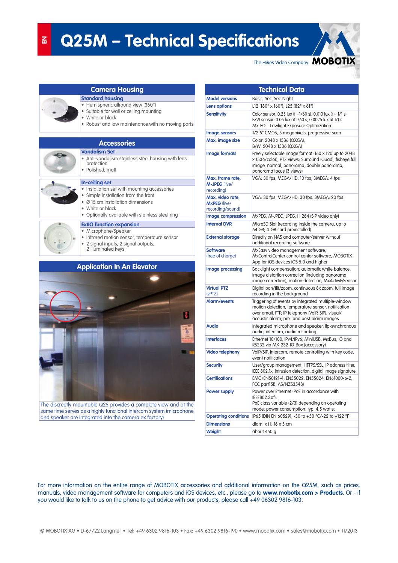## **(1 Q25M - Technical Specifications**



| • Hemispheric allround view (360°)<br>Suitable for wall or ceiling mounting<br>White or black<br>• Robust and low maintenance with no moving parts                                                                  |
|---------------------------------------------------------------------------------------------------------------------------------------------------------------------------------------------------------------------|
| <b>Accessories</b>                                                                                                                                                                                                  |
| <b>Vandalism Set</b><br>Anti-vandalism stainless steel housing with lens<br>protection<br>· Polished, matt                                                                                                          |
| In-ceiling set<br>• Installation set with mounting accessories<br>• Simple installation from the front<br>• Ø 15 cm installation dimensions<br>• White or black<br>• Optionally available with stainless steel ring |
| <b>ExtIO function expansion</b>                                                                                                                                                                                     |
| • Microphone/Speaker<br>Infrared motion sensor, temperature sensor<br>2 signal inputs, 2 signal outputs,<br>2 illuminated keys                                                                                      |
| <b>Application In An Elevator</b>                                                                                                                                                                                   |
|                                                                                                                                                                                                                     |
|                                                                                                                                                                                                                     |
| z                                                                                                                                                                                                                   |
|                                                                                                                                                                                                                     |
| The discreetly mountable Q25 provides a complete view and at the                                                                                                                                                    |

**Camera Housing**

**Standard housing**

**Contract Contract** 

same time serves as a highly functional intercom system (microphone and speaker are integrated into the camera ex factory)

| <b>Technical Data</b>                                      |                                                                                                                                                                                                              |  |  |
|------------------------------------------------------------|--------------------------------------------------------------------------------------------------------------------------------------------------------------------------------------------------------------|--|--|
| <b>Model versions</b>                                      | Basic, Sec, Sec-Night                                                                                                                                                                                        |  |  |
| <b>Lens options</b>                                        | L12 (180° x 160°), L25 (82° x 61°)                                                                                                                                                                           |  |  |
| <b>Sensitivity</b>                                         | Color sensor: 0.25 lux (t = 1/60 s), 0.013 lux (t = 1/1 s)<br>B/W sensor: 0.05 lux at 1/60 s, 0.0025 lux at 1/1 s<br>MxLEO - Lowlight Exposure Optimization                                                  |  |  |
| <b>Image sensors</b>                                       | 1/2.5" CMOS, 5 megapixels, progressive scan                                                                                                                                                                  |  |  |
| Max. image size                                            | Color: 2048 x 1536 (QXGA).<br>B/W: 2048 x 1536 (QXGA)                                                                                                                                                        |  |  |
| <b>Image formats</b>                                       | Freely selectable image format (160 x 120 up to 2048<br>x 1536/color); PTZ views: Surround (Quad), fisheye full<br>image, normal, panorama, double panorama,<br>panorama focus (3 views)                     |  |  |
| Max. frame rate.<br>M-JPEG (live/<br>recording)            | VGA: 30 fps, MEGA/HD: 10 fps, 3MEGA: 4 fps                                                                                                                                                                   |  |  |
| Max. video rate<br><b>MxPEG (live/</b><br>recording/sound) | VGA: 30 fps, MEGA/HD: 30 fps, 3MEGA: 20 fps                                                                                                                                                                  |  |  |
| <b>Image compression</b>                                   | MxPEG, M-JPEG, JPEG, H.264 (SIP video only)                                                                                                                                                                  |  |  |
| <b>Internal DVR</b>                                        | MicroSD Slot (recording inside the camera, up to<br>64 GB; 4-GB card preinstalled)                                                                                                                           |  |  |
| <b>External storage</b>                                    | Directly on NAS and computer/server without<br>additional recording software                                                                                                                                 |  |  |
| <b>Software</b><br>(free of charge)                        | MxEasy video management software,<br>MxControlCenter control center software, MOBOTIX<br>App for iOS devices iOS 5.0 and higher                                                                              |  |  |
| <b>Image processing</b>                                    | Backlight compensation, automatic white balance,<br>image distortion correction (including panorama<br>image correction), motion detection, MxActivitySensor                                                 |  |  |
| <b>Virtual PTZ</b><br>(vPTZ)                               | Digital pan/tilt/zoom, continuous 8x zoom, full image<br>recording in the background                                                                                                                         |  |  |
| <b>Alarm/events</b>                                        | Triggering of events by integrated multiple-window<br>motion detection, temperature sensor, notification<br>over email, FTP, IP telephony (VoIP, SIP), visual/<br>acoustic alarm, pre- and post-alarm images |  |  |
| <b>Audio</b>                                               | Integrated microphone and speaker, lip-synchronous<br>audio, intercom, audio recording                                                                                                                       |  |  |
| <b>Interfaces</b>                                          | Ethernet 10/100, IPv4/IPv6, MiniUSB, MxBus, IO and<br>RS232 via MX-232-IO-Box (accessory)                                                                                                                    |  |  |
| <b>Video telephony</b>                                     | VoIP/SIP, intercom, remote controlling with key code,<br>event notification                                                                                                                                  |  |  |
| <b>Security</b>                                            | User/group management, HTTPS/SSL, IP address filter,<br>IEEE 802.1x, intrusion detection, digital image signature                                                                                            |  |  |
| <b>Certifications</b>                                      | EMC (EN50121-4, EN55022, EN55024, EN61000-6-2,<br>FCC part15B, AS/NZS3548)                                                                                                                                   |  |  |
| <b>Power supply</b>                                        | Power over Ethernet (PoE in accordance with<br>IEEE802.3afl:<br>PoE class variable (2/3) depending on operating<br>mode; power consumption: typ. 4.5 watts;                                                  |  |  |
| <b>Operating conditions</b>                                | IP65 (DIN EN 60529), -30 to +50 °C/-22 to +122 °F                                                                                                                                                            |  |  |
| <b>Dimensions</b>                                          | diam. $x$ H: 16 $x$ 5 cm                                                                                                                                                                                     |  |  |
| <b>Weiaht</b>                                              | about 450 g                                                                                                                                                                                                  |  |  |

For more information on the entire range of MOBOTIX accessories and additional information on the Q25M, such as prices, manuals, video management software for computers and iOS devices, etc., please go to **www.mobotix.com > Products**. Or - if you would like to talk to us on the phone to get advice with our products, please call +49 06302 9816-103.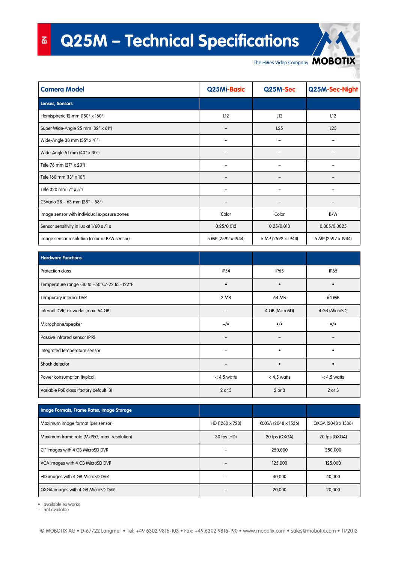# **(1 Q25M - Technical Specifications**

The HiRes Video Company MOBOTIX

| <b>Camera Model</b>                                 | Q25Mi-Basic        | Q25M-Sec           | Q25M-Sec-Night     |
|-----------------------------------------------------|--------------------|--------------------|--------------------|
| <b>Lenses, Sensors</b>                              |                    |                    |                    |
| Hemispheric 12 mm (180° x 160°)                     | L <sub>12</sub>    | L <sub>12</sub>    | L12                |
| Super Wide-Angle 25 mm (82° x 61°)                  |                    | L25                | L25                |
| Wide-Angle 38 mm $(55^\circ \times 41^\circ)$       |                    |                    |                    |
| Wide-Angle 51 mm (40° x 30°)                        |                    |                    |                    |
| Tele 76 mm (27° x 20°)                              |                    |                    |                    |
| Tele 160 mm (13° x 10°)                             |                    |                    |                    |
| Tele 320 mm (7° x 5°)                               |                    |                    |                    |
| CSVario 28 – 63 mm (28 $^{\circ}$ – 58 $^{\circ}$ ) |                    |                    |                    |
| Image sensor with individual exposure zones         | Color              | Color              | B/W                |
| Sensor sensitivity in lux at 1/60 s /1 s            | 0,25/0,013         | 0,25/0,013         | 0,005/0,0025       |
| Image sensor resolution (color or B/W sensor)       | 5 MP (2592 x 1944) | 5 MP (2592 x 1944) | 5 MP (2592 x 1944) |

| <b>Hardware Functions</b>                    |                  |                   |                   |
|----------------------------------------------|------------------|-------------------|-------------------|
| Protection class                             | IP <sub>54</sub> | <b>IP65</b>       | <b>IP65</b>       |
| Temperature range -30 to +50°C/-22 to +122°F |                  |                   |                   |
| Temporary internal DVR                       | 2 MB             | 64 MB             | 64 MB             |
| Internal DVR, ex works (max. 64 GB)          |                  | 4 GB (MicroSD)    | 4 GB (MicroSD)    |
| Microphone/speaker                           | $-/-$            | $\bullet/\bullet$ | $\bullet/\bullet$ |
| Passive infrared sensor (PIR)                |                  |                   |                   |
| Integrated temperature sensor                |                  |                   |                   |
| Shock detector                               |                  |                   |                   |
| Power consumption (typical)                  | $<$ 4,5 watts    | $<$ 4,5 watts     | $<$ 4,5 watts     |
| Variable PoE class (factory default: 3)      | 2 or 3           | 2 or 3            | 2 or 3            |

| Image Formats, Frame Rates, Image Storage   |                 |                    |                    |
|---------------------------------------------|-----------------|--------------------|--------------------|
| Maximum image format (per sensor)           | HD (1280 x 720) | QXGA (2048 x 1536) | QXGA (2048 x 1536) |
| Maximum frame rate (MxPEG, max. resolution) | 30 fps (HD)     | 20 fps (QXGA)      | 20 fps (QXGA)      |
| CIF images with 4 GB MicroSD DVR            |                 | 250,000            | 250,000            |
| VGA images with 4 GB MicroSD DVR            |                 | 125,000            | 125,000            |
| HD images with 4 GB MicroSD DVR             |                 | 40,000             | 40,000             |
| QXGA images with 4 GB MicroSD DVR           |                 | 20,000             | 20,000             |

• available ex works

– not available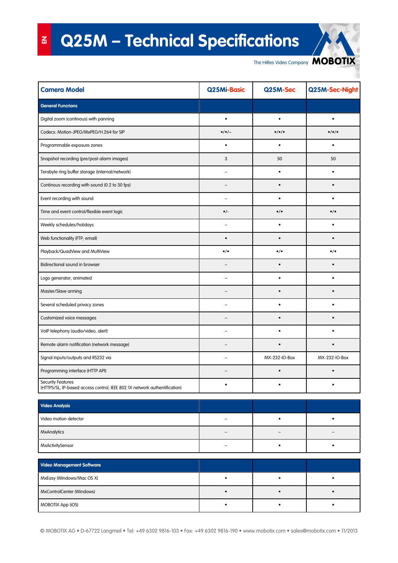# $\overline{a}$ **Q25M - Technical Specifications**

The HiRes Video Company MOBOTIX

| <b>Camera Model</b>                                                                                   | Q25Mi-Basic              | Q25M-Sec                  | Q25M-Sec-Night            |
|-------------------------------------------------------------------------------------------------------|--------------------------|---------------------------|---------------------------|
| <b>General Funcrions</b>                                                                              |                          |                           |                           |
| Digital zoom (continous) with panning                                                                 | $\bullet$                | $\bullet$                 | $\bullet$                 |
| Codecs: Motion-JPEG/MxPEG/H.264 for SIP                                                               | $\bullet/\bullet/-$      | $\bullet/\bullet/\bullet$ | $\bullet/\bullet/\bullet$ |
| Programmable exposure zones                                                                           | $\bullet$                | ٠                         | ٠                         |
| Snapshot recording (pre/post-alarm images)                                                            | 3                        | 50                        | 50                        |
| Terabyte ring buffer storage (internal/network)                                                       | ÷.                       | ٠                         | ٠                         |
| Continous recording with sound (0.2 to 30 fps)                                                        | $\overline{\phantom{a}}$ | $\bullet$                 | $\bullet$                 |
| Event recording with sound                                                                            | ۰                        | $\bullet$                 | $\bullet$                 |
| Time and event control/flexible event logic                                                           | $\bullet$ /-             | $\bullet/\bullet$         | $\bullet/\bullet$         |
| Weekly schedules/holidays                                                                             | ۰                        | $\bullet$                 | $\bullet$                 |
| Web functionality (FTP, email)                                                                        | $\bullet$                | $\bullet$                 | $\bullet$                 |
| Playback/QuadView and MultiView                                                                       | $\bullet/\bullet$        | $\bullet/\bullet$         | $\bullet/\bullet$         |
| Bidirectional sound in browser                                                                        |                          | $\bullet$                 | $\bullet$                 |
| Logo generator, animated                                                                              | $\overline{\phantom{0}}$ | $\bullet$                 | $\bullet$                 |
| Master/Slave arming                                                                                   |                          | $\bullet$                 | $\bullet$                 |
| Several scheduled privacy zones                                                                       | $\overline{\phantom{0}}$ | $\bullet$                 | $\bullet$                 |
| Customized voice messages                                                                             | $\overline{\phantom{a}}$ | $\bullet$                 | $\bullet$                 |
| VoIP telephony (audio/video, alert)                                                                   | $\overline{\phantom{a}}$ | $\bullet$                 | $\bullet$                 |
| Remote alarm notification (network message)                                                           | $\overline{\phantom{a}}$ | $\bullet$                 |                           |
| Signal inputs/outputs and RS232 via                                                                   | $\overline{\phantom{a}}$ | MX-232-IO-Box             | MX-232-IO-Box             |
| Programming interface (HTTP API)                                                                      |                          | $\bullet$                 | $\bullet$                 |
| <b>Security Features</b><br>(HTTPS/SL, IP-based access control, IEEE 802.1X network authentification) | $\bullet$                | $\bullet$                 | $\bullet$                 |
| <b>Video Analysis</b>                                                                                 |                          |                           |                           |

| Video Andiysis        |  |  |
|-----------------------|--|--|
| Video motion detector |  |  |
| <b>MxAnalytics</b>    |  |  |
| MxActivitySensor      |  |  |

| <b>Video Management Software</b> |  |  |
|----------------------------------|--|--|
| MxEasy (Windows/Mac OS X)        |  |  |
| MxControlCenter (Windows)        |  |  |
| MOBOTIX App (iOS)                |  |  |

© MOBOTIX AG • D-67722 Langmeil • Tel: +49 6302 9816-103 • Fax: +49 6302 9816-190 • www.mobotix.com • sales@mobotix.com • 11/2013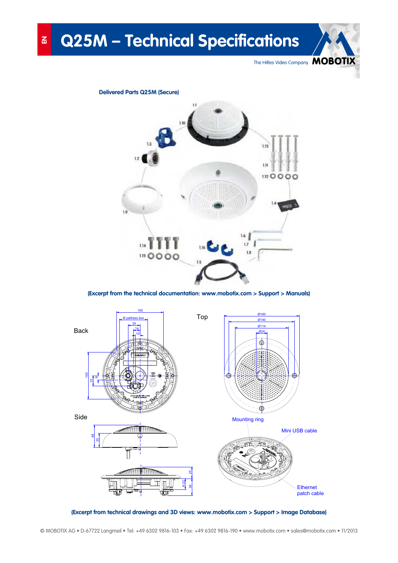**E** Q25M - Technical Specifications **(1**

The HiRes Video Company MOBOTIX



**(Excerpt from the technical documentation: www.mobotix.com > Support > Manuals)**



**(Excerpt from technical drawings and 3D views: www.mobotix.com > Support > Image Database)**